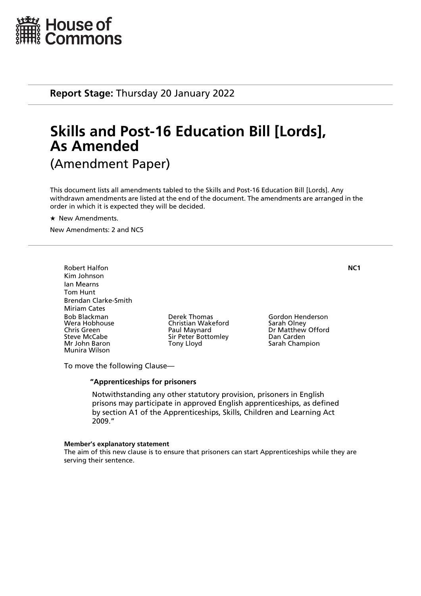

**Report Stage:** Thursday 20 January 2022

# **Skills and Post-16 Education Bill [Lords], As Amended** (Amendment Paper)

This document lists all amendments tabled to the Skills and Post-16 Education Bill [Lords]. Any withdrawn amendments are listed at the end of the document. The amendments are arranged in the order in which it is expected they will be decided.

 $\star$  New Amendments.

New Amendments: 2 and NC5

Robert Halfon **NC1** Kim Johnson Ian Mearns Tom Hunt Brendan Clarke-Smith Miriam Cates Bob Blackman Derek Thomas Gordon Henderson Wera Hobhouse Christian Wakeford<br>
Chris Green Christian Olau Paul Maynard Chris Green **Paul Maynard** Dr Matthew Offord<br>
Sir Peter Bottomley Dan Carden<br>
Dan Carden Steve McCabe Sir Peter Bottomley<br>
Mr John Baron Sir Pony Lloyd Munira Wilson

Sarah Champion

To move the following Clause—

#### **"Apprenticeships for prisoners**

 Notwithstanding any other statutory provision, prisoners in English prisons may participate in approved English apprenticeships, as defined by section A1 of the Apprenticeships, Skills, Children and Learning Act 2009."

#### **Member's explanatory statement**

The aim of this new clause is to ensure that prisoners can start Apprenticeships while they are serving their sentence.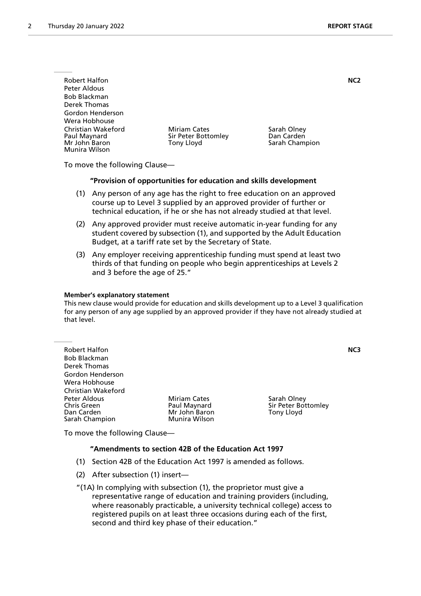| <b>Robert Halfon</b>                                                 |                                                          | NC <sub>2</sub>                             |  |
|----------------------------------------------------------------------|----------------------------------------------------------|---------------------------------------------|--|
| Peter Aldous                                                         |                                                          |                                             |  |
| <b>Bob Blackman</b>                                                  |                                                          |                                             |  |
| Derek Thomas                                                         |                                                          |                                             |  |
| Gordon Henderson                                                     |                                                          |                                             |  |
| Wera Hobhouse                                                        |                                                          |                                             |  |
| Christian Wakeford<br>Paul Maynard<br>Mr John Baron<br>Munira Wilson | <b>Miriam Cates</b><br>Sir Peter Bottomley<br>Tony Lloyd | Sarah Olney<br>Dan Carden<br>Sarah Champion |  |

To move the following Clause—

#### **"Provision of opportunities for education and skills development**

- (1) Any person of any age has the right to free education on an approved course up to Level 3 supplied by an approved provider of further or technical education, if he or she has not already studied at that level.
- (2) Any approved provider must receive automatic in-year funding for any student covered by subsection (1), and supported by the Adult Education Budget, at a tariff rate set by the Secretary of State.
- (3) Any employer receiving apprenticeship funding must spend at least two thirds of that funding on people who begin apprenticeships at Levels 2 and 3 before the age of 25."

#### **Member's explanatory statement**

This new clause would provide for education and skills development up to a Level 3 qualification for any person of any age supplied by an approved provider if they have not already studied at that level.

| <b>Robert Halfon</b><br><b>Bob Blackman</b><br>Derek Thomas |                     |                     | NC3 |
|-------------------------------------------------------------|---------------------|---------------------|-----|
| Gordon Henderson                                            |                     |                     |     |
| Wera Hobhouse                                               |                     |                     |     |
| Christian Wakeford                                          |                     |                     |     |
|                                                             |                     |                     |     |
| Peter Aldous                                                | <b>Miriam Cates</b> | Sarah Olney         |     |
| <b>Chris Green</b>                                          | Paul Maynard        | Sir Peter Bottomley |     |
| Dan Carden                                                  | Mr John Baron       | Tony Lloyd          |     |
| Sarah Champion                                              | Munira Wilson       |                     |     |

To move the following Clause—

### **"Amendments to section 42B of the Education Act 1997**

- (1) Section 42B of the Education Act 1997 is amended as follows.
- (2) After subsection (1) insert—

"(1A) In complying with subsection (1), the proprietor must give a representative range of education and training providers (including, where reasonably practicable, a university technical college) access to registered pupils on at least three occasions during each of the first, second and third key phase of their education."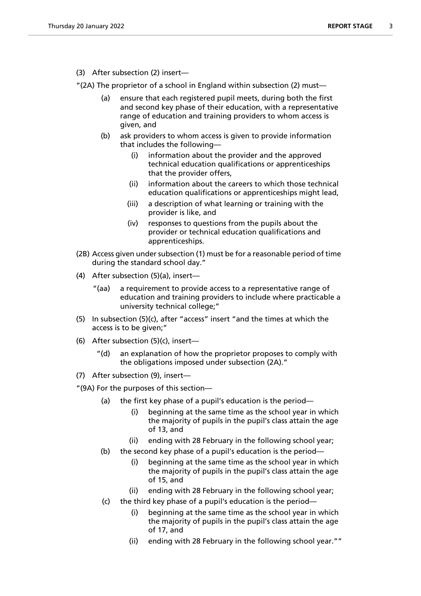(3) After subsection (2) insert—

"(2A) The proprietor of a school in England within subsection (2) must—

- (a) ensure that each registered pupil meets, during both the first and second key phase of their education, with a representative range of education and training providers to whom access is given, and
- (b) ask providers to whom access is given to provide information that includes the following—
	- (i) information about the provider and the approved technical education qualifications or apprenticeships that the provider offers,
	- (ii) information about the careers to which those technical education qualifications or apprenticeships might lead,
	- (iii) a description of what learning or training with the provider is like, and
	- (iv) responses to questions from the pupils about the provider or technical education qualifications and apprenticeships.
- (2B) Access given under subsection (1) must be for a reasonable period of time during the standard school day."
- (4) After subsection (5)(a), insert—
	- "(aa) a requirement to provide access to a representative range of education and training providers to include where practicable a university technical college;"
- (5) In subsection (5)(c), after "access" insert "and the times at which the access is to be given;"
- (6) After subsection (5)(c), insert
	- an explanation of how the proprietor proposes to comply with the obligations imposed under subsection (2A)."
- (7) After subsection (9), insert—

"(9A) For the purposes of this section—

- (a) the first key phase of a pupil's education is the period—
	- (i) beginning at the same time as the school year in which the majority of pupils in the pupil's class attain the age of 13, and
	- (ii) ending with 28 February in the following school year;
- (b) the second key phase of a pupil's education is the period—
	- (i) beginning at the same time as the school year in which the majority of pupils in the pupil's class attain the age of 15, and
	- (ii) ending with 28 February in the following school year;
- (c) the third key phase of a pupil's education is the period
	- beginning at the same time as the school year in which the majority of pupils in the pupil's class attain the age of 17, and
	- (ii) ending with 28 February in the following school year.""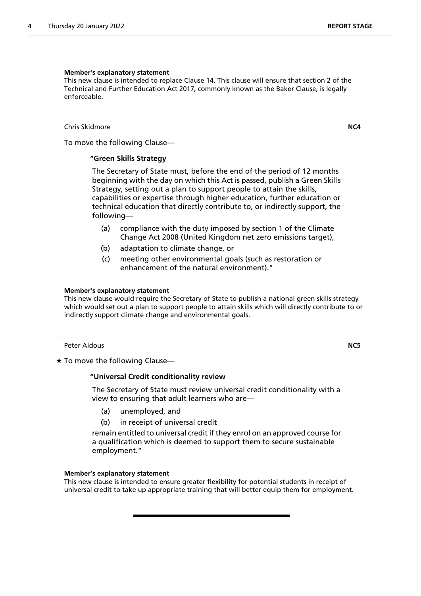#### **Member's explanatory statement**

This new clause is intended to replace Clause 14. This clause will ensure that section 2 of the Technical and Further Education Act 2017, commonly known as the Baker Clause, is legally enforceable.

Chris Skidmore **NC4**

To move the following Clause—

#### **"Green Skills Strategy**

 The Secretary of State must, before the end of the period of 12 months beginning with the day on which this Act is passed, publish a Green Skills Strategy, setting out a plan to support people to attain the skills, capabilities or expertise through higher education, further education or technical education that directly contribute to, or indirectly support, the following—

- (a) compliance with the duty imposed by section 1 of the Climate Change Act 2008 (United Kingdom net zero emissions target),
- (b) adaptation to climate change, or
- (c) meeting other environmental goals (such as restoration or enhancement of the natural environment)."

#### **Member's explanatory statement**

This new clause would require the Secretary of State to publish a national green skills strategy which would set out a plan to support people to attain skills which will directly contribute to or indirectly support climate change and environmental goals.

Peter Aldous **NC5**

 $\star$  To move the following Clause-

#### **"Universal Credit conditionality review**

 The Secretary of State must review universal credit conditionality with a view to ensuring that adult learners who are—

- (a) unemployed, and
- (b) in receipt of universal credit

remain entitled to universal credit if they enrol on an approved course for a qualification which is deemed to support them to secure sustainable employment."

#### **Member's explanatory statement**

This new clause is intended to ensure greater flexibility for potential students in receipt of universal credit to take up appropriate training that will better equip them for employment.